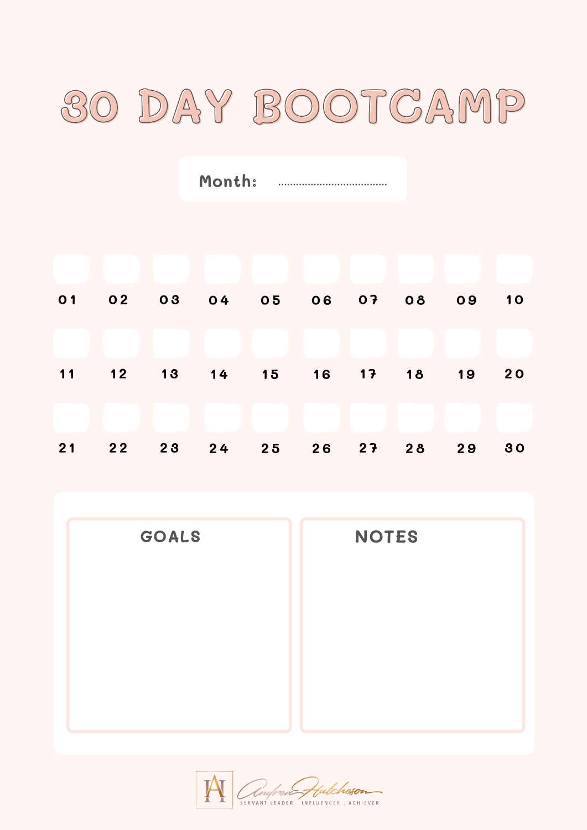

**Month:**

| 01 02 03 04 05 06 07 08 09 10 |  |  |  |           |
|-------------------------------|--|--|--|-----------|
|                               |  |  |  |           |
| 11 12 13 14 15 16 17 18 19    |  |  |  | <b>20</b> |
|                               |  |  |  |           |
| 21 22 23 24 25 26 27 28 29    |  |  |  | 30        |

**GOALS NOTES**

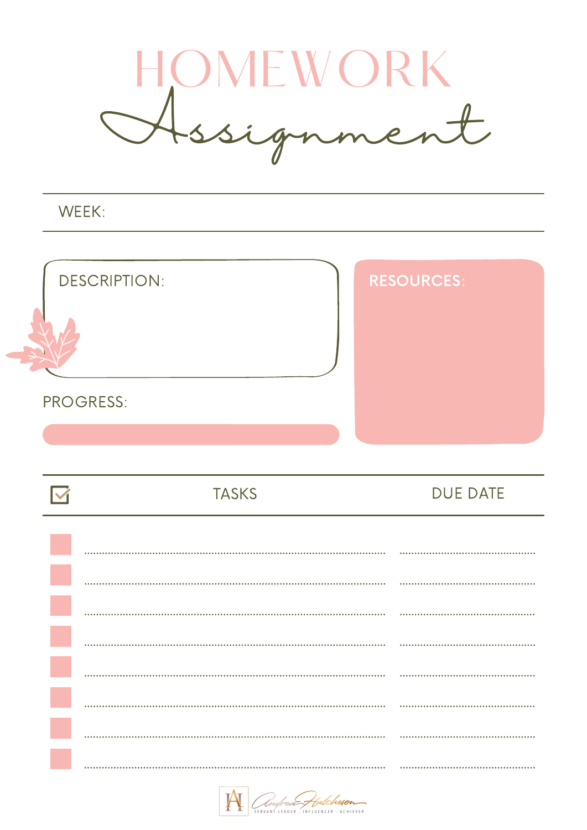

WEEK:



| <b>TASKS</b> | <b>DUE DATE</b> |
|--------------|-----------------|
|              |                 |
|              |                 |
|              |                 |
|              |                 |
|              |                 |
|              |                 |
|              |                 |
|              |                 |

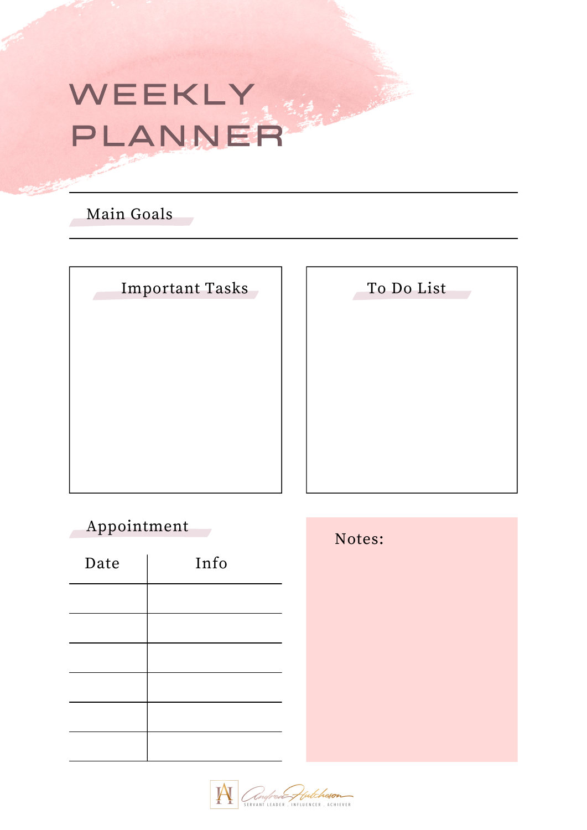# WEEKLY PLANNER

## Main Goals

| <b>Important Tasks</b> |
|------------------------|
|                        |
|                        |
|                        |
|                        |
|                        |

To Do List

## Appointment

| Date | Info |
|------|------|
|      |      |
|      |      |
|      |      |
|      |      |
|      |      |
|      |      |



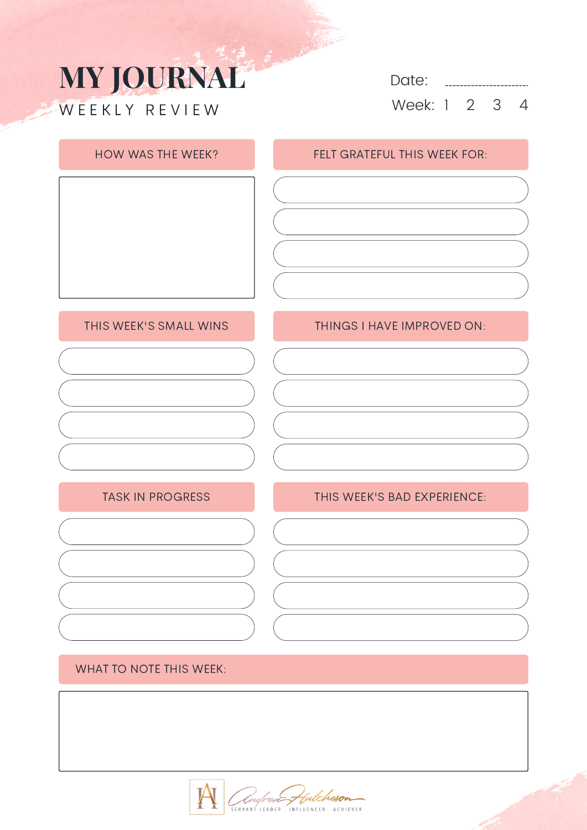# **MY JOURNAL** W E E K L Y R E V I E W

Date: **............** Week: 1 2 3 4

### HOW WAS THE WEEK? FELT GRATEFUL THIS WEEK FOR:

### THIS WEEK'S SMALL WINS

### TASK IN PROGRESS

### THINGS I HAVE IMPROVED ON:

### THIS WEEK'S BAD EXPERIENCE:

### WHAT TO NOTE THIS WEEK:

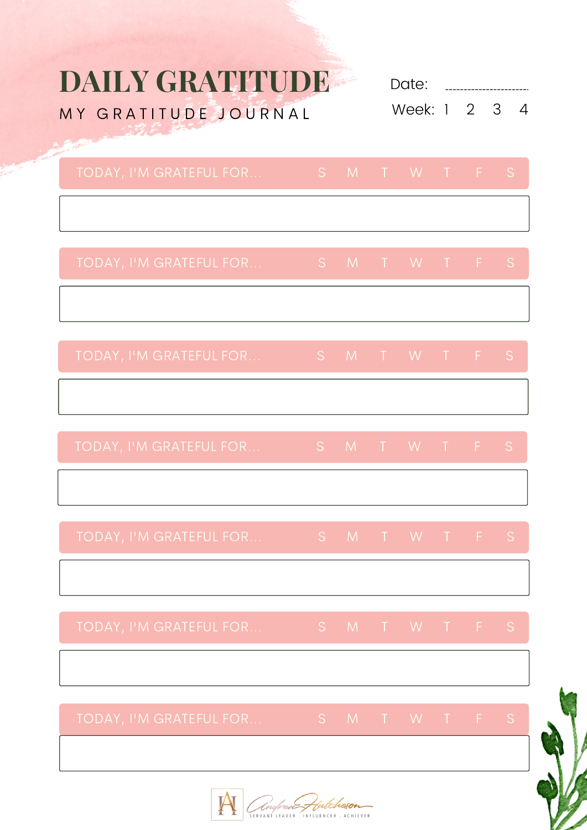# **DAILY GRATITUDE**

MY GRATITUDE JOURNAL

Date: **2008** Week: 1 2 3 4

| TODAY, I'M GRATEFUL FOR |  | IS MIT WIT FSI |  |  |
|-------------------------|--|----------------|--|--|
|                         |  |                |  |  |

| TODAY, I'M GRATEFUL FOR |  | IS MT T W T F S ' |  |  |
|-------------------------|--|-------------------|--|--|
|                         |  |                   |  |  |

| TODAY, I'M GRATEFUL FOR      ' | IS MIWIFS |  |  |  |
|--------------------------------|-----------|--|--|--|
|                                |           |  |  |  |

Angloen Hutcheson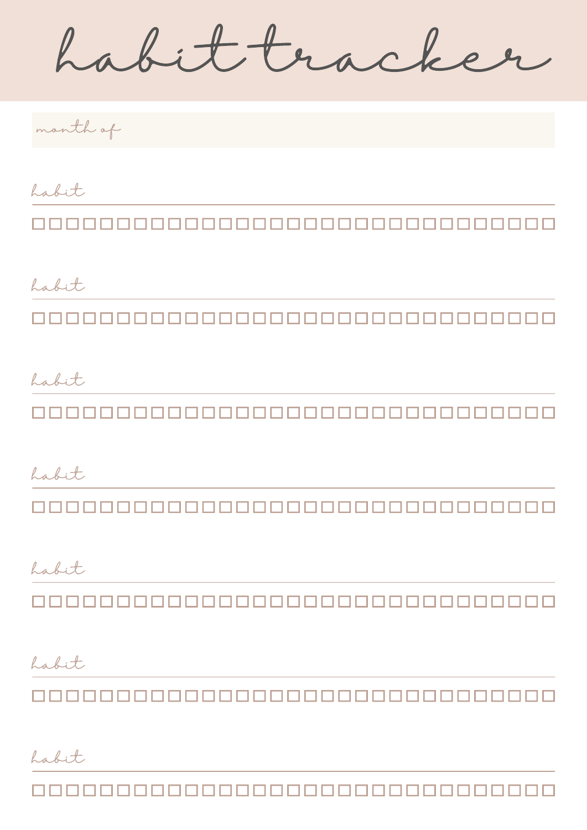habit tracker

month of

habit

habit 

habit

1000000000000000000000000000000000

habit <u>mananananananananananananan</u>

habit

habit

habit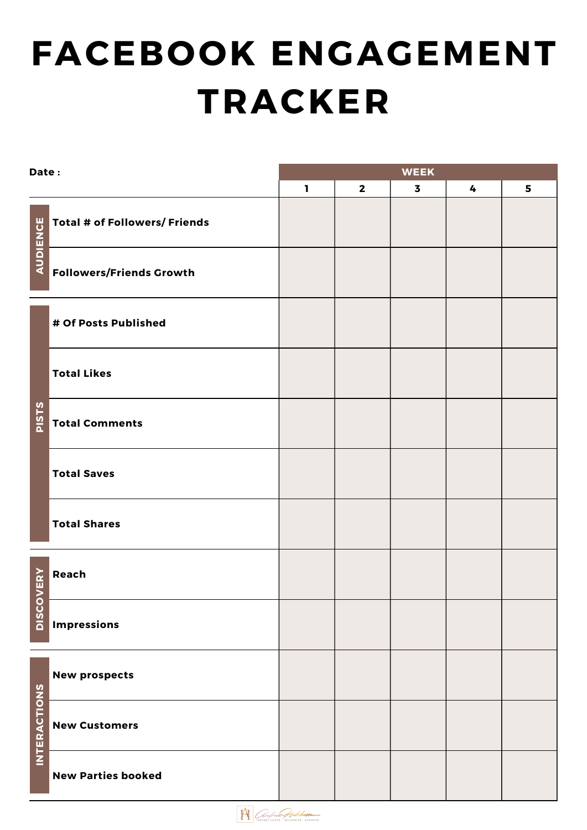# **FACEBOOK ENGAGEMENT TRACKER**

| Date:               |                                      | <b>WEEK</b>  |              |                         |   |   |  |  |  |
|---------------------|--------------------------------------|--------------|--------------|-------------------------|---|---|--|--|--|
|                     |                                      | $\mathbf{I}$ | $\mathbf{2}$ | $\overline{\mathbf{3}}$ | 4 | 5 |  |  |  |
| <b>AUDIENCE</b>     | <b>Total # of Followers/ Friends</b> |              |              |                         |   |   |  |  |  |
|                     | <b>Followers/Friends Growth</b>      |              |              |                         |   |   |  |  |  |
|                     | # Of Posts Published                 |              |              |                         |   |   |  |  |  |
|                     | <b>Total Likes</b>                   |              |              |                         |   |   |  |  |  |
| <b>PISTS</b>        | <b>Total Comments</b>                |              |              |                         |   |   |  |  |  |
|                     | <b>Total Saves</b>                   |              |              |                         |   |   |  |  |  |
|                     | <b>Total Shares</b>                  |              |              |                         |   |   |  |  |  |
|                     | Neach<br>Duan<br><u>Impressions</u>  |              |              |                         |   |   |  |  |  |
|                     |                                      |              |              |                         |   |   |  |  |  |
| <b>INTERACTIONS</b> | <b>New prospects</b>                 |              |              |                         |   |   |  |  |  |
|                     | <b>New Customers</b>                 |              |              |                         |   |   |  |  |  |
|                     | <b>New Parties booked</b>            |              |              |                         |   |   |  |  |  |